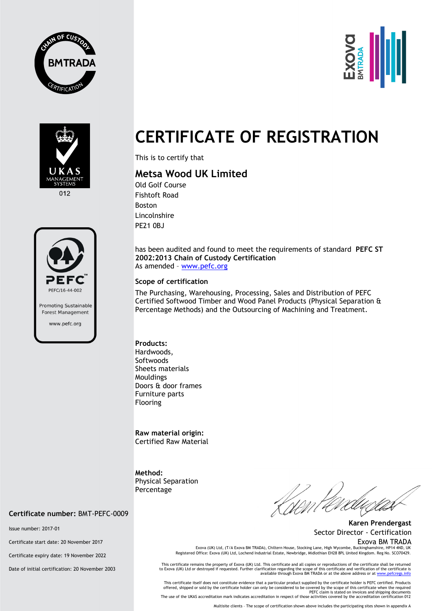





012



## **CERTIFICATE OF REGISTRATION**

This is to certify that

## **Metsa Wood UK Limited**

Old Golf Course Fishtoft Road Boston Lincolnshire PE21 0BJ

has been audited and found to meet the requirements of standard **PEFC ST 2002:2013 Chain of Custody Certification**  As amended – [www.pefc.org](http://www.pefc.org/)

## **Scope of certification**

The Purchasing, Warehousing, Processing, Sales and Distribution of PEFC Certified Softwood Timber and Wood Panel Products (Physical Separation & Percentage Methods) and the Outsourcing of Machining and Treatment.

**Products:**  Hardwoods, **Softwoods** Sheets materials Mouldings Doors & door frames Furniture parts Flooring

**Raw material origin:** Certified Raw Material

**Method:**  Physical Separation **Percentage** 

**Certificate number:** BMT-PEFC-0009

Issue number: 2017-01

Certificate start date: 20 November 2017

Certificate expiry date: 19 November 2022

Date of initial certification: 20 November 2003

**Karen Prendergast** Sector Director - Certification Exova BM TRADA

Exova (UK) Ltd, (T/A Exova BM TRADA), Chiltern House, Stocking Lane, High Wycombe, Buckinghamshire, HP14 4N Registered Office: Exova (UK) Ltd, Lochend Industrial Estate, Newbridge, Midlothian EH28 8PL United Kingdom. Reg No. SCO70429.

This certificate remains the property of Exova (UK) Ltd. This certificate and all copies or reproductions of the certificate shall be returned to Exova (UK) Ltd or destroyed if requested. Further clarification regarding the scope of this certificate and verification of the certificate is<br>available through Exova BM TRADA or at the above address or at <u>www.pefcregs</u>

This certificate itself does not constitute evidence that a particular product supplied by the certificate holder is PEFC certified. Products offered, shipped or sold by the certificate holder can only be considered to be covered by the scope of this certificate when the required<br>PEFC claim is stated on invoices and shipping documents<br>The use of the UKAS accredi

Multisite clients – The scope of certification shown above includes the participating sites shown in appendix A